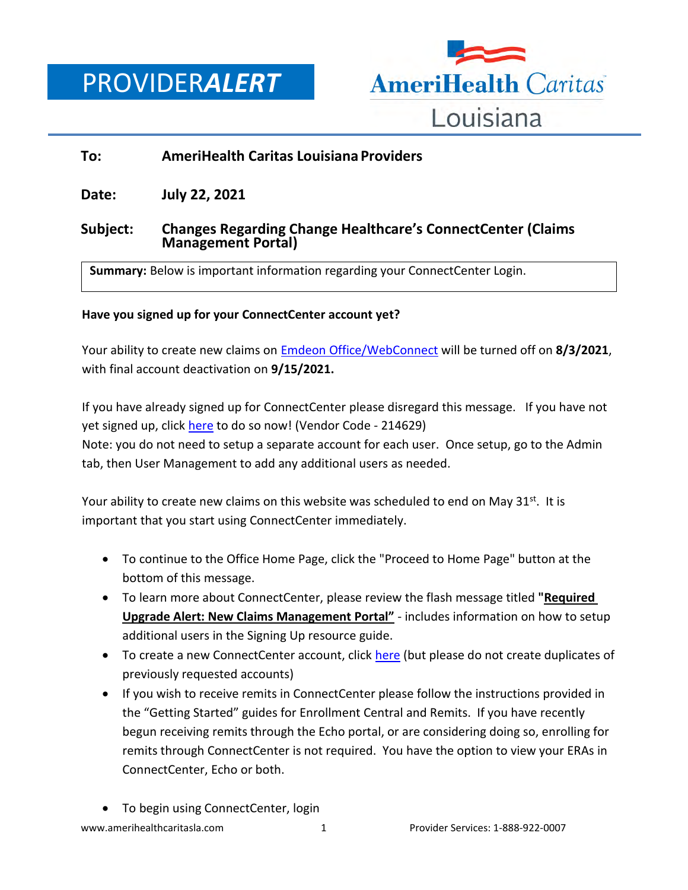PROVIDER*ALERT*



# **To: AmeriHealth Caritas Louisiana Providers**

**Date: July 22, 2021**

## **Subject: Changes Regarding Change Healthcare's ConnectCenter (Claims Management Portal)**

**Summary:** Below is important information regarding your ConnectCenter Login.

### **Have you signed up for your ConnectCenter account yet?**

Your ability to create new claims on [Emdeon Office/WebConnect](https://office.emdeon.com/vendorfiles/amerihealth.html) will be turned off on **8/3/2021**, with final account deactivation on **9/15/2021.**

If you have already signed up for ConnectCenter please disregard this message. If you have not yet signed up, click [here](https://physician.connectcenter.changehealthcare.com/#/site/home?vendor=214629) to do so now! (Vendor Code - 214629) Note: you do not need to setup a separate account for each user. Once setup, go to the Admin tab, then User Management to add any additional users as needed.

Your ability to create new claims on this website was scheduled to end on May  $31^{st}$ . It is important that you start using ConnectCenter immediately.

- To continue to the Office Home Page, click the "Proceed to Home Page" button at the bottom of this message.
- To learn more about ConnectCenter, please review the flash message titled **"Required Upgrade Alert: New Claims Management Portal"** - includes information on how to setup additional users in the Signing Up resource guide.
- To create a new ConnectCenter account, click [here](https://physician.connectcenter.changehealthcare.com/#/site/home?vendor=214629) (but please do not create duplicates of previously requested accounts)
- If you wish to receive remits in ConnectCenter please follow the instructions provided in the "Getting Started" guides for Enrollment Central and Remits. If you have recently begun receiving remits through the Echo portal, or are considering doing so, enrolling for remits through ConnectCenter is not required. You have the option to view your ERAs in ConnectCenter, Echo or both.
- To begin using ConnectCenter, login